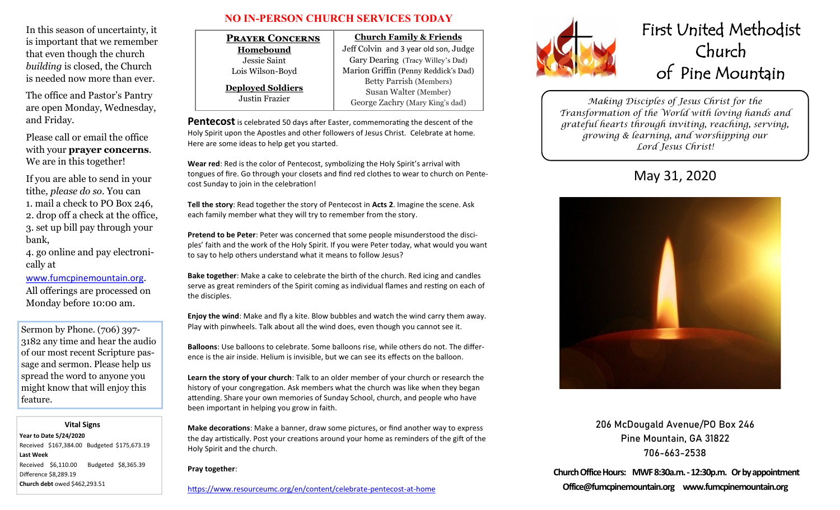In this season of uncertainty, it is important that we remember that even though the church *building* is closed, the Church is needed now more than ever.

The office and Pastor's Pantry are open Monday, Wednesday, and Friday.

Please call or email the office with your **prayer concerns**. We are in this together!

If you are able to send in your tithe*, please do so*. You can 1. mail a check to PO Box 246, 2. drop off a check at the office, 3. set up bill pay through your bank,

4. go online and pay electronically at

### [www.fumcpinemountain.org](http://www.fumcpinemountain.org).

All offerings are processed on Monday before 10:00 am.

Sermon by Phone. (706) 397- 3182 any time and hear the audio of our most recent Scripture passage and sermon. Please help us spread the word to anyone you might know that will enjoy this feature.

#### **Vital Signs**

**Year to Date 5/24/2020**  Received \$167,384.00 Budgeted \$175,673.19 **Last Week**  Received \$6,110.00 Budgeted \$8,365.39 Difference \$8,289.19 **Church debt** owed \$462,293.51

### **NO IN-PERSON CHURCH SERVICES TODAY**

| <b>PRAYER CONCERNS</b>                            | <b>Church Family &amp; Friends</b>                                                                                                 |  |
|---------------------------------------------------|------------------------------------------------------------------------------------------------------------------------------------|--|
| Homebound                                         | Jeff Colvin and 3 year old son, Judge                                                                                              |  |
| Jessie Saint                                      | Gary Dearing (Tracy Willey's Dad)                                                                                                  |  |
| Lois Wilson-Boyd                                  | Marion Griffin (Penny Reddick's Dad)<br><b>Betty Parrish (Members)</b><br>Susan Walter (Member)<br>George Zachry (Mary King's dad) |  |
| <b>Deployed Soldiers</b><br><b>Justin Frazier</b> |                                                                                                                                    |  |

**Pentecost** is celebrated 50 days after Easter, commemorating the descent of the Holy Spirit upon the Apostles and other followers of Jesus Christ. Celebrate at home. Here are some ideas to help get you started.

**Wear red**: [Red is the color of Pentecost,](http://www.umc.org/what-we-believe/glossary-colors-liturgical) symbolizing the Holy Spirit's arrival with tongues of fire. Go through your closets and find red clothes to wear to church on Pentecost Sunday to join in the celebration!

**Tell the story**: Read together the story of Pentecost in **[Acts 2](https://www.biblegateway.com/passage/?search=Acts+2)**. Imagine the scene. Ask each family member what they will try to remember from the story.

**Pretend to be Peter**: Peter was concerned that some people misunderstood the disciples' faith and the work of the Holy Spirit. If you were Peter today, what would you want to say to help others understand what it means to follow Jesus?

**Bake together**: Make a cake to celebrate the birth of the church. Red icing and candles serve as great reminders of the Spirit coming as individual flames and resting on each of the disciples.

**Enjoy the wind**: Make and fly a kite. Blow bubbles and watch the wind carry them away. Play with pinwheels. Talk about all the wind does, even though you cannot see it.

**Balloons**: Use balloons to celebrate. Some balloons rise, while others do not. The difference is the air inside. Helium is invisible, but we can see its effects on the balloon.

**Learn the story of your church**: Talk to an older member of your church or research the history of your congregation. Ask members what the church was like when they began attending. Share your own memories of Sunday School, church, and people who have been important in helping you grow in faith.

**Make decorations**: Make a banner, draw some pictures, or find another way to express the day artistically. Post your creations around your home as reminders of the gift of the Holy Spirit and the church.

#### **Pray together**:



# First United Methodist Church of Pine Mountain

*Making Disciples of Jesus Christ for the Transformation of the World with loving hands and grateful hearts through inviting, reaching, serving, growing & learning, and worshipping our Lord Jesus Christ!* 

## May 31, 2020



206 McDougald Avenue/PO Box 246 Pine Mountain, GA 31822 706-663-2538

**Church Office Hours: MWF 8:30a.m. -12:30p.m. Or by appointment Office@fumcpinemountain.org www.fumcpinemountain.org**